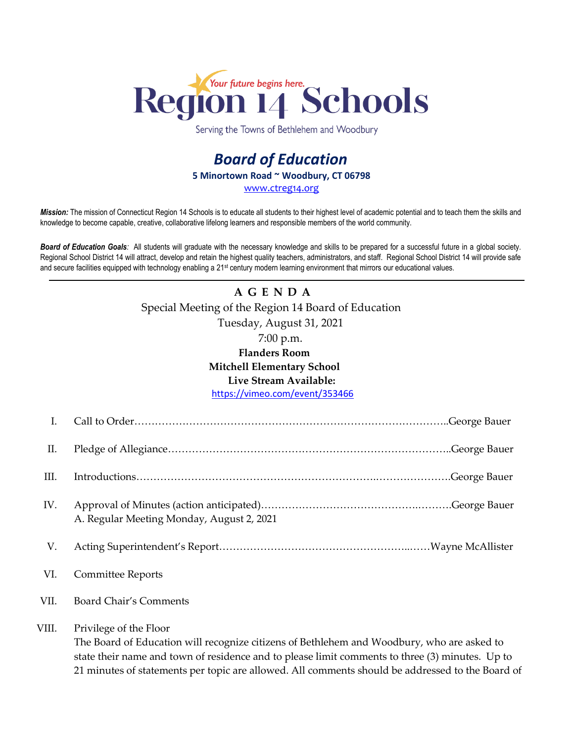

Serving the Towns of Bethlehem and Woodbury

## *Board of Education* **5 Minortown Road ~ Woodbury, CT 06798** [www.ctreg14.org](http://www.ctreg14.org/)

*Mission:* The mission of Connecticut Region 14 Schools is to educate all students to their highest level of academic potential and to teach them the skills and knowledge to become capable, creative, collaborative lifelong learners and responsible members of the world community.

*Board of Education Goals:* All students will graduate with the necessary knowledge and skills to be prepared for a successful future in a global society. Regional School District 14 will attract, develop and retain the highest quality teachers, administrators, and staff. Regional School District 14 will provide safe and secure facilities equipped with technology enabling a 21<sup>st</sup> century modern learning environment that mirrors our educational values.

## **A G E N D A** Special Meeting of the Region 14 Board of Education Tuesday, August 31, 2021 7:00 p.m. **Flanders Room Mitchell Elementary School Live Stream Available:** <https://vimeo.com/event/353466>

| I.    |                                           |
|-------|-------------------------------------------|
| П.    |                                           |
| Ш.    |                                           |
| IV.   | A. Regular Meeting Monday, August 2, 2021 |
| V.    |                                           |
| VI.   | <b>Committee Reports</b>                  |
| VII.  | Board Chair's Comments                    |
| VIII. | Privilege of the Floor                    |

The Board of Education will recognize citizens of Bethlehem and Woodbury, who are asked to state their name and town of residence and to please limit comments to three (3) minutes. Up to 21 minutes of statements per topic are allowed. All comments should be addressed to the Board of